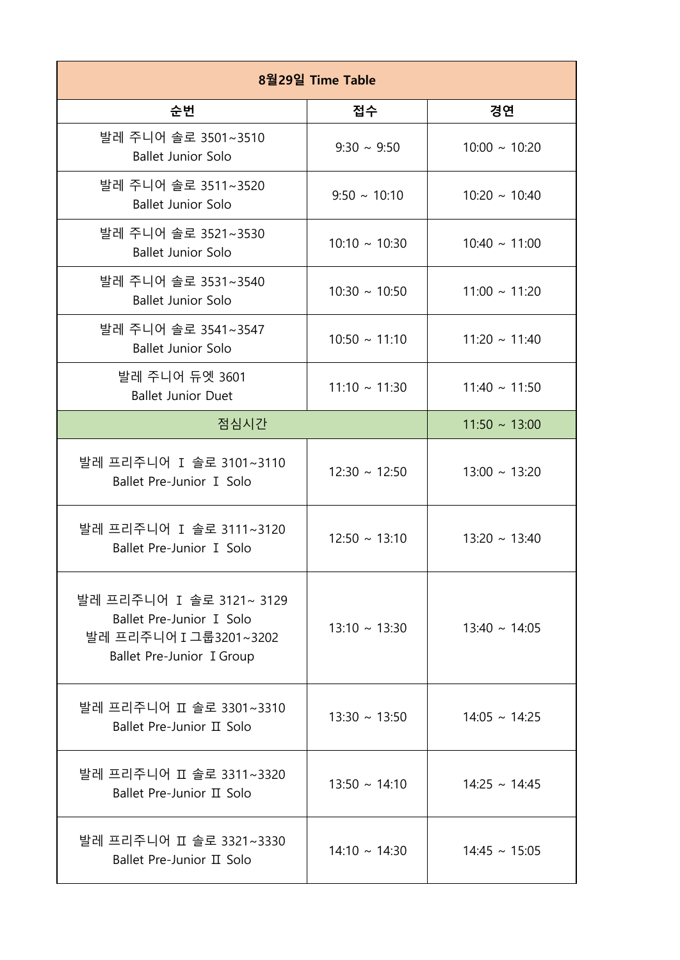| 8월29일 Time Table                                                                                            |                    |                    |
|-------------------------------------------------------------------------------------------------------------|--------------------|--------------------|
| 순번                                                                                                          | 접수                 | 경연                 |
| 발레 주니어 솔로 3501~3510<br><b>Ballet Junior Solo</b>                                                            | $9:30 \sim 9:50$   | $10:00 \sim 10:20$ |
| 발레 주니어 솔로 3511~3520<br><b>Ballet Junior Solo</b>                                                            | $9:50 \sim 10:10$  | $10:20 \sim 10:40$ |
| 발레 주니어 솔로 3521~3530<br><b>Ballet Junior Solo</b>                                                            | $10:10 \sim 10:30$ | $10:40 \sim 11:00$ |
| 발레 주니어 솔로 3531~3540<br><b>Ballet Junior Solo</b>                                                            | $10:30 \sim 10:50$ | $11:00 \sim 11:20$ |
| 발레 주니어 솔로 3541~3547<br><b>Ballet Junior Solo</b>                                                            | $10:50 \sim 11:10$ | $11:20 \sim 11:40$ |
| 발레 주니어 듀엣 3601<br><b>Ballet Junior Duet</b>                                                                 | $11:10 \sim 11:30$ | $11:40 \sim 11:50$ |
| 점심시간                                                                                                        |                    | $11:50 \sim 13:00$ |
| 발레 프리주니어 I 솔로 3101~3110<br>Ballet Pre-Junior I Solo                                                         | $12:30 \sim 12:50$ | $13:00 \sim 13:20$ |
| 발레 프리주니어 I 솔로 3111~3120<br>Ballet Pre-Junior I Solo                                                         | $12:50 \sim 13:10$ | $13:20 \sim 13:40$ |
| 발레 프리주니어 I 솔로 3121~ 3129<br>Ballet Pre-Junior I Solo<br>발레 프리주니어 I 그룹3201~3202<br>Ballet Pre-Junior I Group | $13:10 \sim 13:30$ | $13:40 \sim 14:05$ |
| 발레 프리주니어 II 솔로 3301~3310<br>Ballet Pre-Junior II Solo                                                       | $13:30 \sim 13:50$ | $14:05 \sim 14:25$ |
| 발레 프리주니어 II 솔로 3311~3320<br>Ballet Pre-Junior II Solo                                                       | $13:50 \sim 14:10$ | $14:25 \sim 14:45$ |
| 발레 프리주니어 II 솔로 3321~3330<br>Ballet Pre-Junior II Solo                                                       | $14:10 \sim 14:30$ | $14:45 \sim 15:05$ |